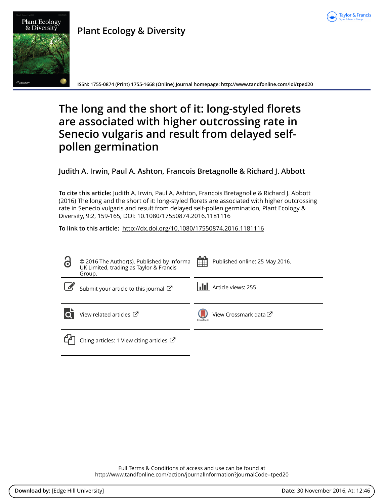

## **Plant Ecology & Diversity**



**ISSN: 1755-0874 (Print) 1755-1668 (Online) Journal homepage:<http://www.tandfonline.com/loi/tped20>**

# **The long and the short of it: long-styled florets are associated with higher outcrossing rate in Senecio vulgaris and result from delayed selfpollen germination**

## **Judith A. Irwin, Paul A. Ashton, Francois Bretagnolle & Richard J. Abbott**

**To cite this article:** Judith A. Irwin, Paul A. Ashton, Francois Bretagnolle & Richard J. Abbott (2016) The long and the short of it: long-styled florets are associated with higher outcrossing rate in Senecio vulgaris and result from delayed self-pollen germination, Plant Ecology & Diversity, 9:2, 159-165, DOI: [10.1080/17550874.2016.1181116](http://www.tandfonline.com/action/showCitFormats?doi=10.1080/17550874.2016.1181116)

**To link to this article:** <http://dx.doi.org/10.1080/17550874.2016.1181116>

| 8 | © 2016 The Author(s). Published by Informa<br>UK Limited, trading as Taylor & Francis<br>Group. | 鮋<br>Published online: 25 May 2016. |
|---|-------------------------------------------------------------------------------------------------|-------------------------------------|
|   | Submit your article to this journal C                                                           | <b>III</b> Article views: 255       |
|   | View related articles $\mathbb{Z}$                                                              | View Crossmark data C<br>CrossMark  |
|   | Citing articles: 1 View citing articles $\mathbb{Z}$                                            |                                     |

Full Terms & Conditions of access and use can be found at <http://www.tandfonline.com/action/journalInformation?journalCode=tped20>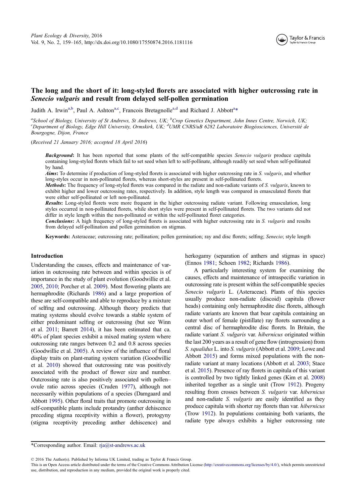

### <span id="page-1-0"></span>The long and the short of it: long-styled florets are associated with higher outcrossing rate in Senecio vulgaris and result from delayed self-pollen germination

Judith A. Irwin<sup>a,b</sup>, Paul A. Ashton<sup>a,c</sup>, Francois Bretagnolle<sup>a,d</sup> and Richard J. Abbott<sup>a</sup>\*

a School of Biology, University of St Andrews, St Andrews, UK; <sup>b</sup>Crop Genetics Department, John Innes Centre, Norwich, UK;<br>CDepartment of Biology, Edge Hill University Ormskirk, UK; <sup>d</sup>UMP CNPS/uB 6282 Laboratoire Biocéos Department of Biology, Edge Hill University, Ormskirk, UK; <sup>d</sup>UMR CNRS/uB 6282 Laboratoire Biogéosciences, Université de Bourgogne, Dijon, France

(Received 21 January 2016; accepted 18 April 2016)

Background: It has been reported that some plants of the self-compatible species Senecio vulgaris produce capitula containing long-styled florets which fail to set seed when left to self-pollinate, although readily set seed when self-pollinated by hand.

Aims: To determine if production of long-styled florets is associated with higher outcrossing rate in S. vulgaris, and whether long-styles occur in non-pollinated florets, whereas short-styles are present in self-pollinated florets.

Methods: The frequency of long-styled florets was compared in the radiate and non-radiate variants of S. vulgaris, known to exhibit higher and lower outcrossing rates, respectively. In addition, style length was compared in emasculated florets that were either self-pollinated or left non-pollinated.

Results: Long-styled florets were more frequent in the higher outcrossing radiate variant. Following emasculation, long styles occurred in non-pollinated florets, while short styles were present in self-pollinated florets. The two variants did not differ in style length within the non-pollinated or within the self-pollinated floret categories.

**Conclusions:** A high frequency of long-styled florets is associated with higher outcrossing rate in S. vulgaris and results from delayed self-pollination and pollen germination on stigmas.

Keywords: Asteraceae; outcrossing rate; pollination; pollen germination; ray and disc florets; selfing; Senecio; style length

#### Introduction

Understanding the causes, effects and maintenance of variation in outcrossing rate between and within species is of importance in the study of plant evolution (Goodwillie et al. [2005](#page-7-0), [2010](#page-7-0); Porcher et al. [2009](#page-7-0)). Most flowering plants are hermaphrodite (Richards [1986](#page-7-0)) and a large proportion of these are self-compatible and able to reproduce by a mixture of selfing and outcrossing. Although theory predicts that mating systems should evolve towards a stable system of either predominant selfing or outcrossing (but see Winn et al. [2011](#page-7-0); Barrett [2014](#page-6-0)), it has been estimated that ca. 40% of plant species exhibit a mixed mating system where outcrossing rate ranges between 0.2 and 0.8 across species (Goodwillie et al. [2005\)](#page-7-0). A review of the influence of floral display traits on plant-mating system variation (Goodwillie et al. [2010](#page-7-0)) showed that outcrossing rate was positively associated with the product of flower size and number. Outcrossing rate is also positively associated with pollen– ovule ratio across species (Cruden [1977](#page-6-0)), although not necessarily within populations of a species (Damgaard and Abbott [1995](#page-7-0)). Other floral traits that promote outcrossing in self-compatible plants include protandry (anther dehiscence preceding stigma receptivity within a flower), protogyny (stigma receptivity preceding anther dehiscence) and

herkogamy (separation of anthers and stigmas in space) (Ennos [1981;](#page-7-0) Schoen [1982](#page-7-0); Richards [1986](#page-7-0)).

A particularly interesting system for examining the causes, effects and maintenance of intraspecific variation in outcrossing rate is present within the self-compatible species Senecio vulgaris L. (Asteraceae). Plants of this species usually produce non-radiate (discoid) capitula (flower heads) containing only hermaphrodite disc florets, although radiate variants are known that bear capitula containing an outer whorl of female (pistillate) ray florets surrounding a central disc of hermaphrodite disc florets. In Britain, the radiate variant S. vulgaris var. hibernicus originated within the last 200 years as a result of gene flow (introgression) from S. squalidus L. into S. vulgaris (Abbott et al. [2009](#page-6-0); Lowe and Abbott [2015](#page-7-0)) and forms mixed populations with the nonradiate variant at many locations (Abbott et al. [2003;](#page-6-0) Stace et al. [2015](#page-7-0)). Presence of ray florets in capitula of this variant is controlled by two tightly linked genes (Kim et al. [2008](#page-7-0)) inherited together as a single unit (Trow [1912\)](#page-7-0). Progeny resulting from crosses between S. vulgaris var. hibernicus and non-radiate S. *vulgaris* are easily identified as they produce capitula with shorter ray florets than var. hibernicus (Trow [1912](#page-7-0)). In populations containing both variants, the radiate type always exhibits a higher outcrossing rate

\*Corresponding author. Email: rja@st-andrews.ac.uk

© 2016 The Author(s). Published by Informa UK Limited, trading as Taylor & Francis Group.

This is an Open Access article distributed under the terms of the Creative Commons Attribution License (http://creativecommons.org/licenses/by/4.0/), which permits unrestricted use, distribution, and reproduction in any medium, provided the original work is properly cited.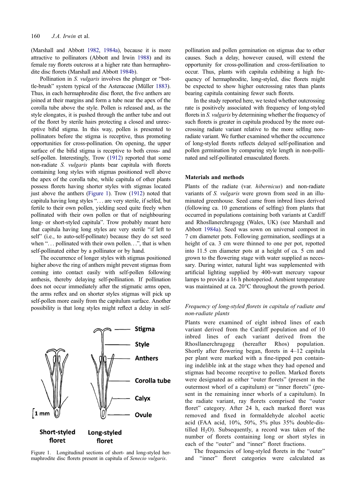<span id="page-2-0"></span>(Marshall and Abbott [1982,](#page-7-0) [1984a\)](#page-7-0), because it is more attractive to pollinators (Abbott and Irwin [1988\)](#page-6-0) and its female ray florets outcross at a higher rate than hermaphrodite disc florets (Marshall and Abbott [1984b\)](#page-7-0).

Pollination in S. *vulgaris* involves the plunger or "bottle-brush" system typical of the Asteraceae (Müller [1883](#page-7-0)). Thus, in each hermaphrodite disc floret, the five anthers are joined at their margins and form a tube near the apex of the corolla tube above the style. Pollen is released and, as the style elongates, it is pushed through the anther tube and out of the floret by sterile hairs protecting a closed and unreceptive bifid stigma. In this way, pollen is presented to pollinators before the stigma is receptive, thus promoting opportunities for cross-pollination. On opening, the upper surface of the bifid stigma is receptive to both cross- and self-pollen. Interestingly, Trow ([1912](#page-7-0)) reported that some non-radiate S. vulgaris plants bear capitula with florets containing long styles with stigmas positioned well above the apex of the corolla tube, while capitula of other plants possess florets having shorter styles with stigmas located just above the anthers (Figure 1). Trow [\(1912\)](#page-7-0) noted that capitula having long styles ". . . are very sterile, if selfed, but fertile to their own pollen, yielding seed quite freely when pollinated with their own pollen or that of neighbouring long- or short-styled capitula". Trow probably meant here that capitula having long styles are very sterile "if left to self" (i.e., to auto-self-pollinate) because they do set seed when "... pollinated with their own pollen...", that is when self-pollinated either by a pollinator or by hand.

The occurrence of longer styles with stigmas positioned higher above the ring of anthers might prevent stigmas from coming into contact easily with self-pollen following anthesis, thereby delaying self-pollination. If pollination does not occur immediately after the stigmatic arms open, the arms reflex and on shorter styles stigmas will pick up self-pollen more easily from the capitulum surface. Another possibility is that long styles might reflect a delay in self-



Figure 1. Longitudinal sections of short- and long-styled hermaphrodite disc florets present in capitula of Senecio vulgaris.

pollination and pollen germination on stigmas due to other causes. Such a delay, however caused, will extend the opportunity for cross-pollination and cross-fertilisation to occur. Thus, plants with capitula exhibiting a high frequency of hermaphrodite, long-styled, disc florets might be expected to show higher outcrossing rates than plants bearing capitula containing fewer such florets.

In the study reported here, we tested whether outcrossing rate is positively associated with frequency of long-styled florets in S. *vulgaris* by determining whether the frequency of such florets is greater in capitula produced by the more outcrossing radiate variant relative to the more selfing nonradiate variant. We further examined whether the occurrence of long-styled florets reflects delayed self-pollination and pollen germination by comparing style length in non-pollinated and self-pollinated emasculated florets.

#### Materials and methods

Plants of the radiate (var. hibernicus) and non-radiate variants of S. vulgaris were grown from seed in an illuminated greenhouse. Seed came from inbred lines derived (following ca. 10 generations of selfing) from plants that occurred in populations containing both variants at Cardiff and Rhosllanerchrugogg (Wales, UK) (see Marshall and Abbott [1984a\)](#page-7-0). Seed was sown on universal compost in 7 cm diameter pots. Following germination, seedlings at a height of ca. 3 cm were thinned to one per pot, repotted into 11.5 cm diameter pots at a height of ca. 5 cm and grown to the flowering stage with water supplied as necessary. During winter, natural light was supplemented with artificial lighting supplied by 400-watt mercury vapour lamps to provide a 16 h photoperiod. Ambient temperature was maintained at ca. 20°C throughout the growth period.

#### Frequency of long-styled florets in capitula of radiate and non-radiate plants

Plants were examined of eight inbred lines of each variant derived from the Cardiff population and of 10 inbred lines of each variant derived from the Rhosllanerchrugogg (hereafter Rhos) population. Shortly after flowering began, florets in 4–12 capitula per plant were marked with a fine-tipped pen containing indelible ink at the stage when they had opened and stigmas had become receptive to pollen. Marked florets were designated as either "outer florets" (present in the outermost whorl of a capitulum) or "inner florets" (present in the remaining inner whorls of a capitulum). In the radiate variant, ray florets comprised the "outer floret" category. After 24 h, each marked floret was removed and fixed in formaldehyde alcohol acetic acid (FAA acid, 10%, 50%, 5% plus 35% double-distilled  $H_2O$ ). Subsequently, a record was taken of the number of florets containing long or short styles in each of the "outer" and "inner" floret fractions.

The frequencies of long-styled florets in the "outer" and "inner" floret categories were calculated as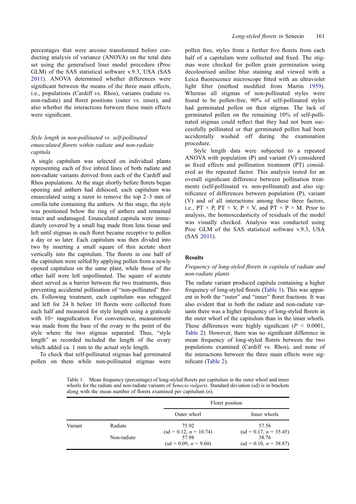<span id="page-3-0"></span>percentages that were arcsine transformed before conducting analysis of variance (ANOVA) on the total data set using the generalised liner model procedure (Proc GLM) of the SAS statistical software v.9.3, USA (SAS [2011\)](#page-7-0). ANOVA determined whether differences were significant between the means of the three main effects, i.e., populations (Cardiff vs. Rhos), variants (radiate vs. non-radiate) and floret positions (outer vs. inner), and also whether the interactions between these main effects were significant.

#### Style length in non-pollinated vs. self-pollinated emasculated florets within radiate and non-radiate capitula

A single capitulum was selected on individual plants representing each of five inbred lines of both radiate and non-radiate variants derived from each of the Cardiff and Rhos populations. At the stage shortly before florets began opening and anthers had dehisced, each capitulum was emasculated using a razor to remove the top 2–3 mm of corolla tube containing the anthers. At this stage, the style was positioned below the ring of anthers and remained intact and undamaged. Emasculated capitula were immediately covered by a small bag made from lens tissue and left until stigmas in each floret became receptive to pollen a day or so later. Each capitulum was then divided into two by inserting a small square of thin acetate sheet vertically into the capitulum. The florets in one half of the capitulum were selfed by applying pollen from a newly opened capitulum on the same plant, while those of the other half were left unpollinated. The square of acetate sheet served as a barrier between the two treatments, thus preventing accidental pollination of "non-pollinated" florets. Following treatment, each capitulum was rebagged and left for 24 h before 10 florets were collected from each half and measured for style length using a graticule with  $10\times$  magnification. For convenience, measurement was made from the base of the ovary to the point of the style where the two stigmas separated. Thus, "style length" as recorded included the length of the ovary which added ca. 1 mm to the actual style length.

To check that self-pollinated stigmas had germinated pollen on them while non-pollinated stigmas were

pollen free, styles from a further five florets from each half of a capitulum were collected and fixed. The stigmas were checked for pollen grain germination using decolourised aniline blue staining and viewed with a Leica fluorescence microscope fitted with an ultraviolet light filter (method modified from Martin [1959\)](#page-7-0). Whereas all stigmas of non-pollinated styles were found to be pollen-free, 90% of self-pollinated styles had germinated pollen on their stigmas. The lack of germinated pollen on the remaining 10% of self-pollinated stigmas could reflect that they had not been successfully pollinated or that germinated pollen had been accidentally washed off during the examination procedure.

Style length data were subjected to a repeated ANOVA with population (P) and variant (V) considered as fixed effects and pollination treatment (PT) considered as the repeated factor. This analysis tested for an overall significant difference between pollination treatments (self-pollinated vs. non-pollinated) and also significance of differences between population (P), variant (V) and of all interactions among these three factors, i.e.,  $PT \times P$ ,  $PT \times V$ ,  $P \times V$ , and  $PT \times P \times M$ . Prior to analysis, the homoscedasticity of residuals of the model was visually checked. Analysis was conducted using Proc GLM of the SAS statistical software v.9.3, USA (SAS [2011](#page-7-0)).

#### Results

#### Frequency of long-styled florets in capitula of radiate and non-radiate plants

The radiate variant produced capitula containing a higher frequency of long-styled florets (Table 1). This was apparent in both the "outer" and "inner" floret fractions. It was also evident that in both the radiate and non-radiate variants there was a higher frequency of long-styled florets in the outer whorl of the capitulum than in the inner whorls. These differences were highly significant ( $P < 0.0001$ , [Table 2](#page-4-0)). However, there was no significant difference in mean frequency of long-styled florets between the two populations examined (Cardiff vs. Rhos), and none of the interactions between the three main effects were significant ([Table 2\)](#page-4-0).

Table 1. Mean frequency (percentage) of long-styled florets per capitulum in the outer whorl and inner whorls for the radiate and non-radiate variants of *Senecio vulgaris*. Standard deviation (sd) is in brackets along with the mean number of florets examined per capitulum  $(n)$ .

|         |             |                                  | Floret position                    |  |  |
|---------|-------------|----------------------------------|------------------------------------|--|--|
|         |             | Outer whorl                      | Inner whorls                       |  |  |
| Variant | Radiate     | 75.92<br>$sd = 0.12, n = 10.74$  | 57.56<br>$sd = 0.17$ , $n = 35.45$ |  |  |
|         | Non-radiate | 57.98<br>$(st = 0.09, n = 9.60)$ | 38.76<br>$(sd = 0.10, n = 38.87)$  |  |  |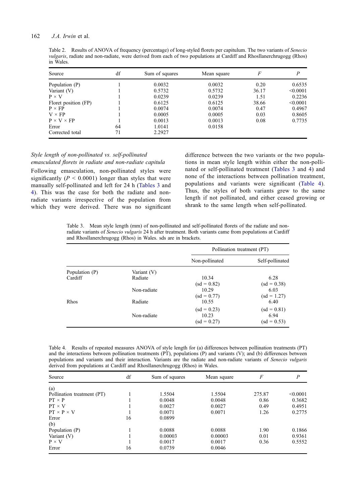#### <span id="page-4-0"></span>162 J.A. Irwin et al.

Table 2. Results of ANOVA of frequency (percentage) of long-styled florets per capitulum. The two variants of Senecio vulgaris, radiate and non-radiate, were derived from each of two populations at Cardiff and Rhosllanerchrugogg (Rhos) in Wales.

| Source                 | df | Sum of squares | Mean square | F     | P        |
|------------------------|----|----------------|-------------|-------|----------|
| Population (P)         |    | 0.0032         | 0.0032      | 0.20  | 0.6535   |
| Variant (V)            |    | 0.5732         | 0.5732      | 36.17 | < 0.0001 |
| $P \times V$           |    | 0.0239         | 0.0239      | 1.51  | 0.2236   |
| Floret position (FP)   |    | 0.6125         | 0.6125      | 38.66 | < 0.0001 |
| $P \times FP$          |    | 0.0074         | 0.0074      | 0.47  | 0.4967   |
| $V \times FP$          |    | 0.0005         | 0.0005      | 0.03  | 0.8605   |
| $P \times V \times FP$ |    | 0.0013         | 0.0013      | 0.08  | 0.7735   |
| Error                  | 64 | 1.0141         | 0.0158      |       |          |
| Corrected total        | 71 | 2.2927         |             |       |          |

### Style length of non-pollinated vs. self-pollinated

emasculated florets in radiate and non-radiate capitula Following emasculation, non-pollinated styles were significantly ( $P < 0.0001$ ) longer than styles that were manually self-pollinated and left for 24 h (Tables 3 and 4). This was the case for both the radiate and nonradiate variants irrespective of the population from which they were derived. There was no significant

difference between the two variants or the two populations in mean style length within either the non-pollinated or self-pollinated treatment (Tables 3 and 4) and none of the interactions between pollination treatment, populations and variants were significant (Table 4). Thus, the styles of both variants grew to the same length if not pollinated, and either ceased growing or shrank to the same length when self-pollinated.

Table 3. Mean style length (mm) of non-pollinated and self-pollinated florets of the radiate and nonradiate variants of Senecio vulgaris 24 h after treatment. Both variants came from populations at Cardiff and Rhosllanerchrugogg (Rhos) in Wales. sds are in brackets.

|                |               | Pollination treatment (PT) |                 |
|----------------|---------------|----------------------------|-----------------|
|                |               | Non-pollinated             | Self-pollinated |
| Population (P) | Variant $(V)$ |                            |                 |
| Cardiff        | Radiate       | 10.34                      | 6.28            |
|                |               | $(sd = 0.82)$              | $(sd = 0.38)$   |
|                | Non-radiate   | 10.29                      | 6.03            |
|                |               | $(sd = 0.77)$              | $sd = 1.27$     |
| Rhos           | Radiate       | 10.55                      | 6.40            |
|                |               | $(sd = 0.23)$              | $(sd = 0.81)$   |
|                | Non-radiate   | 10.23                      | 6.94            |
|                |               | $(sd = 0.27)$              | $(sd = 0.53)$   |

Table 4. Results of repeated measures ANOVA of style length for (a) differences between pollination treatments (PT) and the interactions between pollination treatments (PT), populations (P) and variants (V); and (b) differences between populations and variants and their interaction. Variants are the radiate and non-radiate variants of Senecio vulgaris derived from populations at Cardiff and Rhosllanerchrugogg (Rhos) in Wales.

| Source                     | df | Sum of squares | Mean square | F      | $\boldsymbol{P}$ |
|----------------------------|----|----------------|-------------|--------|------------------|
| (a)                        |    |                |             |        |                  |
| Pollination treatment (PT) |    | 1.5504         | 1.5504      | 275.87 | < 0.0001         |
| $PT \times P$              |    | 0.0048         | 0.0048      | 0.86   | 0.3682           |
| $PT \times V$              |    | 0.0027         | 0.0027      | 0.49   | 0.4951           |
| $PT \times P \times V$     |    | 0.0071         | 0.0071      | 1.26   | 0.2775           |
| Error                      | 16 | 0.0899         |             |        |                  |
| (b)                        |    |                |             |        |                  |
| Population (P)             |    | 0.0088         | 0.0088      | 1.90   | 0.1866           |
| Variant (V)                |    | 0.00003        | 0.00003     | 0.01   | 0.9361           |
| $P \times V$               |    | 0.0017         | 0.0017      | 0.36   | 0.5552           |
| Error                      | 16 | 0.0739         | 0.0046      |        |                  |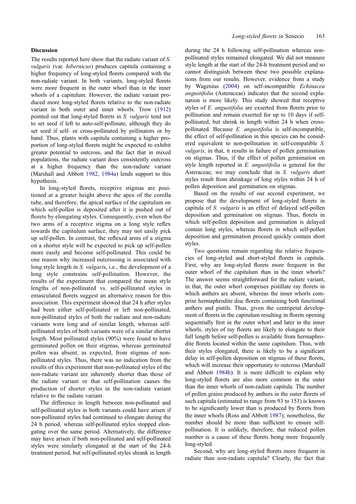#### <span id="page-5-0"></span>Discussion

The results reported here show that the radiate variant of S. vulgaris (var. hibernicus) produces capitula containing a higher frequency of long-styled florets compared with the non-radiate variant. In both variants, long-styled florets were more frequent in the outer whorl than in the inner whorls of a capitulum. However, the radiate variant produced more long-styled florets relative to the non-radiate variant in both outer and inner whorls. Trow [\(1912](#page-7-0)) pointed out that long-styled florets in S. vulgaris tend not to set seed if left to auto-self-pollinate, although they do set seed if self- or cross-pollinated by pollinators or by hand. Thus, plants with capitula containing a higher proportion of long-styled florets might be expected to exhibit greater potential to outcross, and the fact that in mixed populations, the radiate variant does consistently outcross at a higher frequency than the non-radiate variant (Marshall and Abbott [1982,](#page-7-0) [1984a](#page-7-0)) lends support to this hypothesis.

In long-styled florets, receptive stigmas are positioned at a greater height above the apex of the corolla tube, and therefore, the apical surface of the capitulum on which self-pollen is deposited after it is pushed out of florets by elongating styles. Consequently, even when the two arms of a receptive stigma on a long style reflex towards the capitulum surface, they may not easily pick up self-pollen. In contrast, the reflexed arms of a stigma on a shorter style will be expected to pick up self-pollen more easily and become self-pollinated. This could be one reason why increased outcrossing is associated with long style length in S. *vulgaris*, i.e., the development of a long style constrains self-pollination. However, the results of the experiment that compared the mean style lengths of non-pollinated vs. self-pollinated styles in emasculated florets suggest an alternative reason for this association. This experiment showed that 24 h after styles had been either self-pollinated or left non-pollinated, non-pollinated styles of both the radiate and non-radiate variants were long and of similar length, whereas selfpollinated styles of both variants were of a similar shorter length. Most pollinated styles (90%) were found to have germinated pollen on their stigmas, whereas germinated pollen was absent, as expected, from stigmas of nonpollinated styles. Thus, there was no indication from the results of this experiment that non-pollinated styles of the non-radiate variant are inherently shorter than those of the radiate variant or that self-pollination causes the production of shorter styles in the non-radiate variant relative to the radiate variant.

The difference in length between non-pollinated and self-pollinated styles in both variants could have arisen if non-pollinated styles had continued to elongate during the 24 h period, whereas self-pollinated styles stopped elongating over the same period. Alternatively, the difference may have arisen if both non-pollinated and self-pollinated styles were similarly elongated at the start of the 24-h treatment period, but self-pollinated styles shrank in length

during the 24 h following self-pollination whereas nonpollinated styles remained elongated. We did not measure style length at the start of the 24-h treatment period and so cannot distinguish between these two possible explanations from our results. However, evidence from a study by Wagenius ([2004\)](#page-7-0) on self-incompatible Echinacea angustifolia (Asteraceae) indicates that the second explanation is more likely. This study showed that receptive styles of E. angustifolia are exserted from florets prior to pollination and remain exserted for up to 10 days if selfpollinated, but shrink in length within 24 h when crosspollinated. Because E. angustifolia is self-incompatible, the effect of self-pollination in this species can be considered equivalent to non-pollination in self-compatible S. vulgaris, in that, it results in failure of pollen germination on stigmas. Thus, if the effect of pollen germination on style length reported in E. angustifolia is general for the Asteraceae, we may conclude that in S. vulgaris short styles result from shrinkage of long styles within 24 h of pollen deposition and germination on stigmas.

Based on the results of our second experiment, we propose that the development of long-styled florets in capitula of S. vulgaris is an effect of delayed self-pollen deposition and germination on stigmas. Thus, florets in which self-pollen deposition and germination is delayed contain long styles, whereas florets in which self-pollen deposition and germination proceed quickly contain short styles.

Two questions remain regarding the relative frequencies of long-styled and short-styled florets in capitula. First, why are long-styled florets more frequent in the outer whorl of the capitulum than in the inner whorls? The answer seems straightforward for the radiate variant, in that, the outer whorl comprises pistillate ray florets in which anthers are absent, whereas the inner whorls comprise hermaphrodite disc florets containing both functional anthers and pistils. Thus, given the centripetal development of florets in the capitulum resulting in florets opening sequentially first in the outer whorl and later in the inner whorls, styles of ray florets are likely to elongate to their full length before self-pollen is available from hermaphrodite florets located within the same capitulum. Thus, with their styles elongated, there is likely to be a significant delay in self-pollen deposition on stigmas of these florets, which will increase their opportunity to outcross (Marshall and Abbott [1984b](#page-7-0)). It is more difficult to explain why long-styled florets are also more common in the outer than the inner whorls of non-radiate capitula. The number of pollen grains produced by anthers in the outer florets of such capitula (estimated to range from 93 to 153) is known to be significantly lower than is produced by florets from the inner whorls (Ross and Abbott [1987\)](#page-7-0); nonetheless, the number should be more than sufficient to ensure selfpollination. It is unlikely, therefore, that reduced pollen number is a cause of these florets being more frequently long-styled.

Second, why are long-styled florets more frequent in radiate than non-radiate capitula? Clearly, the fact that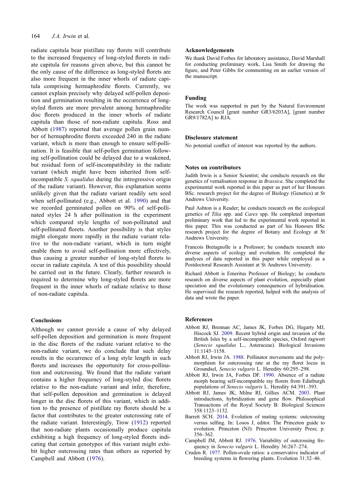<span id="page-6-0"></span>radiate capitula bear pistillate ray florets will contribute to the increased frequency of long-styled florets in radiate capitula for reasons given above, but this cannot be the only cause of the difference as long-styled florets are also more frequent in the inner whorls of radiate capitula comprising hermaphrodite florets. Currently, we cannot explain precisely why delayed self-pollen deposition and germination resulting in the occurrence of longstyled florets are more prevalent among hermaphrodite disc florets produced in the inner whorls of radiate capitula than those of non-radiate capitula. Ross and Abbott ([1987](#page-7-0)) reported that average pollen grain number of hermaphrodite florets exceeded 240 in the radiate variant, which is more than enough to ensure self-pollination. It is feasible that self-pollen germination following self-pollination could be delayed due to a weakened, but residual form of self-incompatibility in the radiate variant (which might have been inherited from selfincompatible S. squalidus during the introgressive origin of the radiate variant). However, this explanation seems unlikely given that the radiate variant readily sets seed when self-pollinated (e.g., Abbott et al. 1990) and that we recorded germinated pollen on 90% of self-pollinated styles 24 h after pollination in the experiment which compared style lengths of non-pollinated and self-pollinated florets. Another possibility is that styles might elongate more rapidly in the radiate variant relative to the non-radiate variant, which in turn might enable them to avoid self-pollination more effectively, thus causing a greater number of long-styled florets to occur in radiate capitula. A test of this possibility should be carried out in the future. Clearly, further research is required to determine why long-styled florets are more frequent in the inner whorls of radiate relative to those of non-radiate capitula.

#### Conclusions

Although we cannot provide a cause of why delayed self-pollen deposition and germination is more frequent in the disc florets of the radiate variant relative to the non-radiate variant, we do conclude that such delay results in the occurrence of a long style length in such florets and increases the opportunity for cross-pollination and outcrossing. We found that the radiate variant contains a higher frequency of long-styled disc florets relative to the non-radiate variant and infer, therefore, that self-pollen deposition and germination is delayed longer in the disc florets of this variant, which in addition to the presence of pistillate ray florets should be a factor that contributes to the greater outcrossing rate of the radiate variant. Interestingly, Trow ([1912](#page-7-0)) reported that non-radiate plants occasionally produce capitula exhibiting a high frequency of long-styled florets indicating that certain genotypes of this variant might exhibit higher outcrossing rates than others as reported by Campbell and Abbott (1976).

#### Acknowledgements

We thank David Forbes for laboratory assistance, David Marshall for conducting preliminary work, Lisa Smith for drawing the figure, and Peter Gibbs for commenting on an earlier version of the manuscript.

#### Funding

The work was supported in part by the Natural Environment Research Council [grant number GR3/6203A], [grant number GR9/1782A] to RJA.

#### Disclosure statement

No potential conflict of interest was reported by the authors.

#### Notes on contributors

Judith Irwin is a Senior Scientist; she conducts research on the genetics of vernalisation response in Brassica. She completed the experimental work reported in this paper as part of her Honours BSc. research project for the degree of Biology (Genetics) at St Andrews University.

Paul Ashton is a Reader; he conducts research on the ecological genetics of Tilia spp. and Carex spp. He completed important preliminary work that led to the experimental work reported in this paper. This was conducted as part of his Honours BSc research project for the degree of Botany and Ecology at St Andrews University.

Francois Bretagnolle is a Professor; he conducts research into diverse aspects of ecology and evolution. He completed the analyses of data reported in this paper while employed as a Postdoctoral Research Assistant at St Andrews University.

Richard Abbott is Emeritus Professor of Biology; he conducts research on diverse aspects of plant evolution, especially plant speciation and the evolutionary consequences of hybridisation. He supervised the research reported, helped with the analysis of data and wrote the paper.

#### References

- Abbott RJ, Brennan AC, James JK, Forbes DG, Hegarty MJ, Hiscock SJ. [2009.](#page-1-0) Recent hybrid origin and invasion of the British Isles by a self-incompatible species, Oxford ragwort (Senecio squalidus L., Asteraceae). Biological Invasions 11:1145–1158.
- Abbott RJ, Irwin JA. [1988](#page-2-0). Pollinator movements and the polymorphism for outcrossing rate at the ray floret locus in Groundsel, Senecio vulgaris L. Heredity 60:295–298.
- Abbott RJ, Irwin JA, Forbes DF. 1990. Absence of a radiate morph bearing self-incompatible ray florets from Edinburgh populations of Senecio vulgaris L. Heredity 64:391–393.
- Abbott RJ, James JK, Milne RI, Gillies ACM. [2003.](#page-1-0) Plant introductions, hybridization and gene flow. Philosophical Transactions of the Royal Society B: Biological Sciences 358:1123–1132.
- Barrett SCH. [2014](#page-1-0). Evolution of mating systems: outcrossing versus selfing. In: Losos J, editor. The Princeton guide to evolution. Princeton (NJ): Princeton University Press; p. 356–362.
- Campbell JM, Abbott RJ. 1976. Variability of outcrossing frequency in Senecio vulgaris L. Heredity 36:267–274.
- Cruden R. [1977](#page-1-0). Pollen-ovule ratios: a conservative indicator of breeding systems in flowering plants. Evolution 31:32–46.